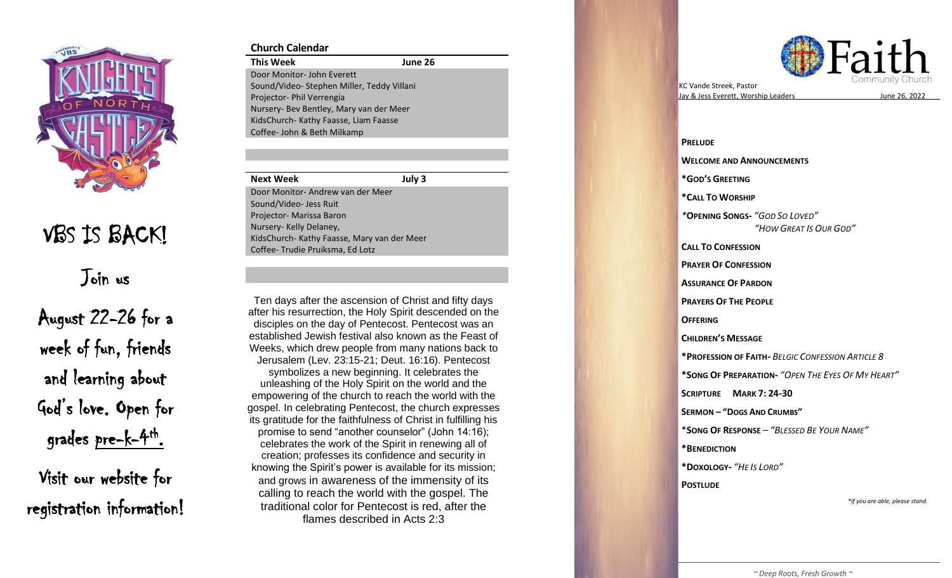

## VBS IS BACK!

Join us

August 22 -26 for a week of fun, friends and learning about God's love. Open for grades pre-k-4<sup>th</sup>.

Visit our website for registration information!

## **Church Calendar**

**This Week June 26** Door Monitor - John Everett Sound/Video - Stephen Miller, Teddy Villani Projector- Phil Verrengia Nursery - Bev Bentley, Mary van der Meer KidsChurch - Kathy Faasse, Liam Faasse Coffee - John & Beth Milkamp

| <b>Next Week</b>                            | July 3 |
|---------------------------------------------|--------|
| Door Monitor-Andrew van der Meer            |        |
| Sound/Video- Jess Ruit                      |        |
| Projector- Marissa Baron                    |        |
| Nursery-Kelly Delaney,                      |        |
| KidsChurch- Kathy Faasse, Mary van der Meer |        |
| Coffee-Trudie Pruiksma, Ed Lotz             |        |

tter his resurrection, the Holy Spirit descended on the<br>disciples on the day of Pentecost. Pentecost was an Jerusalem (Lev. 23:15-21; Deut. 16:16). Pentecost Ten days after the ascension of Christ and fifty days after his resurrection, the Holy Spirit descended on the established Jewish festival also known as the Feast of Weeks, which drew people from many nations back to

unleashing of the Holy Spirit on the world and the its gratitude for the faithfulness of Christ in fulfilling his celebrates the work of the Spirit in renewing all of and grows in awareness of the immensity of its February 27 - Benevolent Fund flames described in Acts 2:3 symbolizes a new beginning. It celebrates the empowering of the church to reach the world with the gospel. In celebrating Pentecost, the church expresses promise to send "another counselor" (John 14:16); creation; professes its confidence and security in knowing the Spirit's power is available for its mission; calling to reach the world with the gospel. The traditional color for Pentecost is red, after the



KC Vande Streek , Pastor Jay & Jess Everett, Worship Leaders

s June 26 , 2022

**PRELUDE WELCOME AND ANNOUNCEMENTS \*GOD 'S GREETING \* CALL TO WORSHIP**  *\** **OPENING SONG S -** *"GOD SO LOVED " "HOW GREAT IS OUR GOD "* **CALL TO CONFESSION PRAYER OF CONFESSION ASSURANCE OF PARDON PRAYERS OF THE PEOPLE OFFERING CHILDREN 'S MESSAGE \* PROFESSION OF FAITH -** *BELGIC CONFESSION ARTICLE 8* **\*SONG OF PREPARATION -** *"OPEN THE EYES OF MY HEART "* **SCRIPTURE MARK 7: 24 -30 SERMON – " DOGS AND CRUMBS "** \* **SONG OF RESPONSE** – *"BLESSED BE YOUR NAME "* **\*BENEDICTION \*DOXOLOGY -** *"HE IS LORD "* **POSTLUDE** *\*If you are able, please stand.*